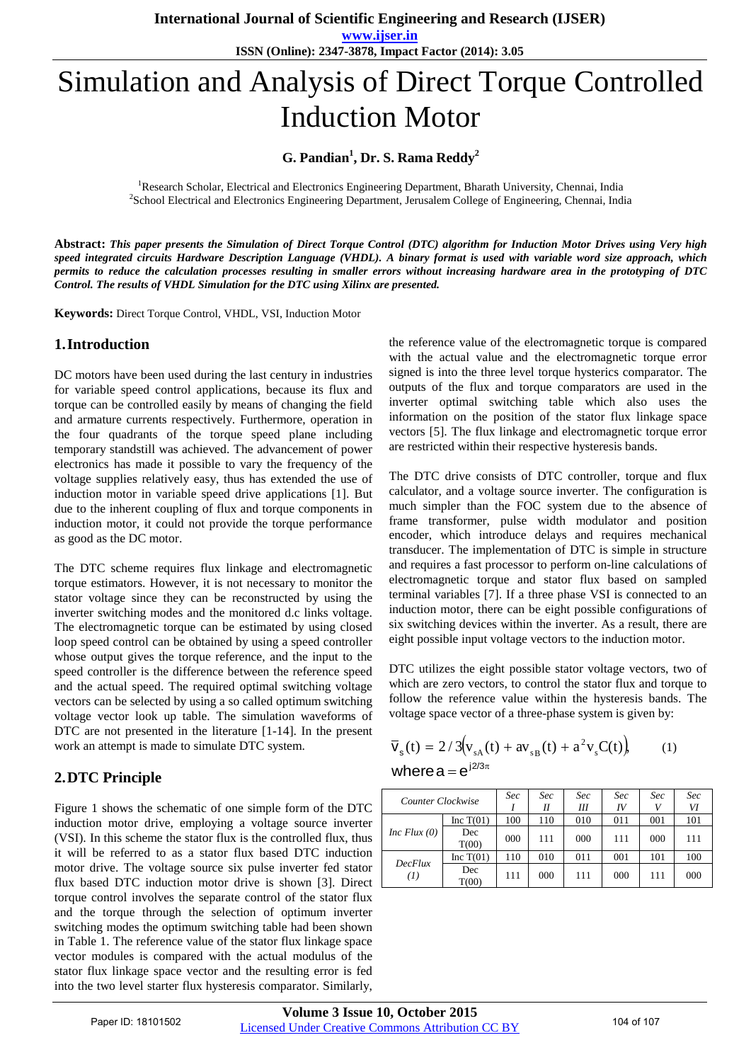**www.ijser.in ISSN (Online): 2347-3878, Impact Factor (2014): 3.05**

# Simulation and Analysis of Direct Torque Controlled Induction Motor

## **G. Pandian<sup>1</sup> , Dr. S. Rama Reddy<sup>2</sup>**

<sup>1</sup>Research Scholar, Electrical and Electronics Engineering Department, Bharath University, Chennai, India 2 School Electrical and Electronics Engineering Department, Jerusalem College of Engineering, Chennai, India

**Abstract:** *This paper presents the Simulation of Direct Torque Control (DTC) algorithm for Induction Motor Drives using Very high speed integrated circuits Hardware Description Language (VHDL). A binary format is used with variable word size approach, which permits to reduce the calculation processes resulting in smaller errors without increasing hardware area in the prototyping of DTC Control. The results of VHDL Simulation for the DTC using Xilinx are presented.*

**Keywords:** Direct Torque Control, VHDL, VSI, Induction Motor

#### **1.Introduction**

DC motors have been used during the last century in industries for variable speed control applications, because its flux and torque can be controlled easily by means of changing the field and armature currents respectively. Furthermore, operation in the four quadrants of the torque speed plane including temporary standstill was achieved. The advancement of power electronics has made it possible to vary the frequency of the voltage supplies relatively easy, thus has extended the use of induction motor in variable speed drive applications [1]. But due to the inherent coupling of flux and torque components in induction motor, it could not provide the torque performance as good as the DC motor.

The DTC scheme requires flux linkage and electromagnetic torque estimators. However, it is not necessary to monitor the stator voltage since they can be reconstructed by using the inverter switching modes and the monitored d.c links voltage. The electromagnetic torque can be estimated by using closed loop speed control can be obtained by using a speed controller whose output gives the torque reference, and the input to the speed controller is the difference between the reference speed and the actual speed. The required optimal switching voltage vectors can be selected by using a so called optimum switching voltage vector look up table. The simulation waveforms of DTC are not presented in the literature [1-14]. In the present work an attempt is made to simulate DTC system.

## **2.DTC Principle**

Figure 1 shows the schematic of one simple form of the DTC induction motor drive, employing a voltage source inverter (VSI). In this scheme the stator flux is the controlled flux, thus it will be referred to as a stator flux based DTC induction motor drive. The voltage source six pulse inverter fed stator flux based DTC induction motor drive is shown [3]. Direct torque control involves the separate control of the stator flux and the torque through the selection of optimum inverter switching modes the optimum switching table had been shown in Table 1. The reference value of the stator flux linkage space vector modules is compared with the actual modulus of the stator flux linkage space vector and the resulting error is fed into the two level starter flux hysteresis comparator. Similarly,

the reference value of the electromagnetic torque is compared with the actual value and the electromagnetic torque error signed is into the three level torque hysterics comparator. The outputs of the flux and torque comparators are used in the inverter optimal switching table which also uses the information on the position of the stator flux linkage space vectors [5]. The flux linkage and electromagnetic torque error are restricted within their respective hysteresis bands.

The DTC drive consists of DTC controller, torque and flux calculator, and a voltage source inverter. The configuration is much simpler than the FOC system due to the absence of frame transformer, pulse width modulator and position encoder, which introduce delays and requires mechanical transducer. The implementation of DTC is simple in structure and requires a fast processor to perform on-line calculations of electromagnetic torque and stator flux based on sampled terminal variables [7]. If a three phase VSI is connected to an induction motor, there can be eight possible configurations of six switching devices within the inverter. As a result, there are eight possible input voltage vectors to the induction motor.

DTC utilizes the eight possible stator voltage vectors, two of which are zero vectors, to control the stator flux and torque to follow the reference value within the hysteresis bands. The voltage space vector of a three-phase system is given by:

$$
\overline{V}_s(t) = 2/3(v_{sA}(t) + av_{sB}(t) + a^2 v_s C(t)),
$$
\nwhere  $a = e^{j2/3\pi}$ 

| Counter Clockwise |              | Sec | Sec<br>II | Sec<br>Ш | Sec<br>IV | Sec<br>V | Sec<br>VI |
|-------------------|--------------|-----|-----------|----------|-----------|----------|-----------|
| Inc Flux $(0)$    | Inc $T(01)$  | 100 | 110       | 010      | 011       | 001      | 101       |
|                   | Dec<br>T(00) | 000 | 111       | 000      | 111       | 000      | 111       |
| DecFlux<br>(1)    | Inc $T(01)$  | 110 | 010       | 011      | 001       | 101      | 100       |
|                   | Dec<br>T(00) | 111 | 000       | 111      | 000       | 111      | 000       |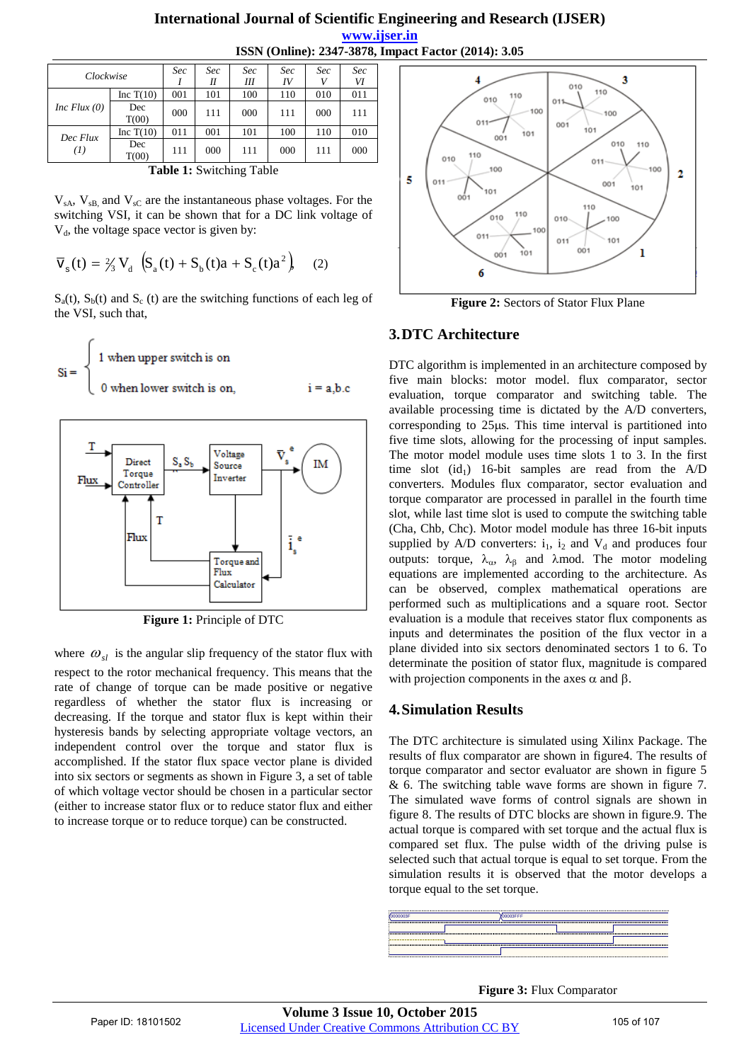#### **International Journal of Scientific Engineering and Research (IJSER) www.ijser.in ISSN (Online): 2347-3878, Impact Factor (2014): 3.05**

| Clockwise       |              | Sec | Sec | Sec | Sec | Sec | Sec |  |  |
|-----------------|--------------|-----|-----|-----|-----|-----|-----|--|--|
|                 |              |     | Н   | Ш   | IV  | V   | VI  |  |  |
| Inc Flux $(0)$  | Inc $T(10)$  | 001 | 101 | 100 | 110 | 010 | 011 |  |  |
|                 | Dec<br>T(00) | 000 | 111 | 000 | 111 | 000 | 111 |  |  |
| Dec Flux<br>(I) | Inc $T(10)$  | 011 | 001 | 101 | 100 | 110 | 010 |  |  |
|                 | Dec<br>T(00) | 111 | 000 | 111 | 000 | 111 | 000 |  |  |
| muu 40 mu       |              |     |     |     |     |     |     |  |  |

**Table 1:** Switching Table

 $V_{sA}$ ,  $V_{sB}$  and  $V_{sC}$  are the instantaneous phase voltages. For the switching VSI, it can be shown that for a DC link voltage of  $V<sub>d</sub>$ , the voltage space vector is given by:

$$
\overline{V}_s(t) = \frac{2}{3} V_d \left( S_a(t) + S_b(t)a + S_c(t)a^2 \right)
$$
 (2)

 $S_a(t)$ ,  $S_b(t)$  and  $S_c(t)$  are the switching functions of each leg of the VSI, such that,

$$
Si = \begin{cases} 1 & \text{when upper switch is on} \\ 0 & \text{when lower switch is on,} \end{cases}
$$
 i = a,b.c



**Figure 1:** Principle of DTC

where  $\omega_{sl}$  is the angular slip frequency of the stator flux with respect to the rotor mechanical frequency. This means that the rate of change of torque can be made positive or negative regardless of whether the stator flux is increasing or decreasing. If the torque and stator flux is kept within their hysteresis bands by selecting appropriate voltage vectors, an independent control over the torque and stator flux is accomplished. If the stator flux space vector plane is divided into six sectors or segments as shown in Figure 3, a set of table of which voltage vector should be chosen in a particular sector (either to increase stator flux or to reduce stator flux and either to increase torque or to reduce torque) can be constructed.



**Figure 2:** Sectors of Stator Flux Plane

## **3.DTC Architecture**

DTC algorithm is implemented in an architecture composed by five main blocks: motor model. flux comparator, sector evaluation, torque comparator and switching table. The available processing time is dictated by the A/D converters, corresponding to 25 us. This time interval is partitioned into five time slots, allowing for the processing of input samples. The motor model module uses time slots 1 to 3. In the first time slot  $(id_1)$  16-bit samples are read from the A/D converters. Modules flux comparator, sector evaluation and torque comparator are processed in parallel in the fourth time slot, while last time slot is used to compute the switching table (Cha, Chb, Chc). Motor model module has three 16-bit inputs supplied by A/D converters:  $i_1$ ,  $i_2$  and  $V_d$  and produces four outputs: torque,  $\lambda_{\alpha}$ ,  $\lambda_{\beta}$  and  $\lambda$ mod. The motor modeling equations are implemented according to the architecture. As can be observed, complex mathematical operations are performed such as multiplications and a square root. Sector evaluation is a module that receives stator flux components as inputs and determinates the position of the flux vector in a plane divided into six sectors denominated sectors 1 to 6. To determinate the position of stator flux, magnitude is compared with projection components in the axes  $\alpha$  and  $\beta$ .

## **4.Simulation Results**

The DTC architecture is simulated using Xilinx Package. The results of flux comparator are shown in figure4. The results of torque comparator and sector evaluator are shown in figure 5 & 6. The switching table wave forms are shown in figure 7. The simulated wave forms of control signals are shown in figure 8. The results of DTC blocks are shown in figure.9. The actual torque is compared with set torque and the actual flux is compared set flux. The pulse width of the driving pulse is selected such that actual torque is equal to set torque. From the simulation results it is observed that the motor develops a torque equal to the set torque.



**Figure 3:** Flux Comparator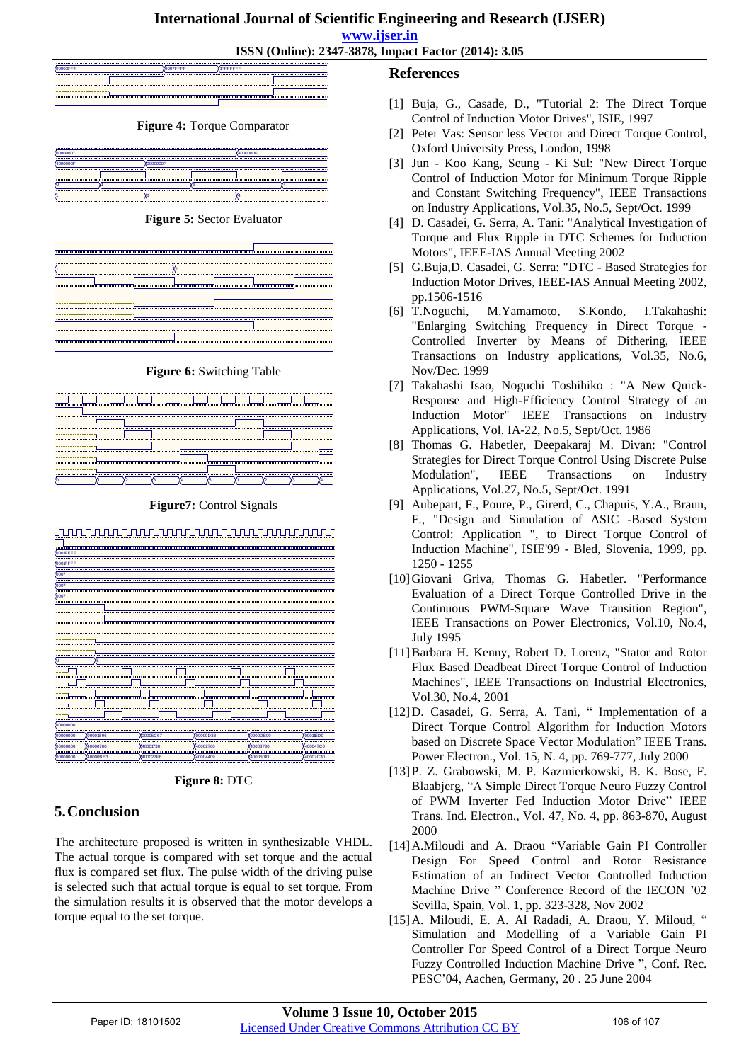## **International Journal of Scientific Engineering and Research (IJSER)**

**www.ijser.in**

**ISSN (Online): 2347-3878, Impact Factor (2014): 3.05**



**Figure 6:** Switching Table



**Figure7:** Control Signals



**Figure 8:** DTC

## **5.Conclusion**

The architecture proposed is written in synthesizable VHDL. The actual torque is compared with set torque and the actual flux is compared set flux. The pulse width of the driving pulse is selected such that actual torque is equal to set torque. From the simulation results it is observed that the motor develops a torque equal to the set torque.

## **References**

- [1] Buja, G., Casade, D., "Tutorial 2: The Direct Torque Control of Induction Motor Drives", ISIE, 1997
- [2] Peter Vas: Sensor less Vector and Direct Torque Control, Oxford University Press, London, 1998
- [3] Jun Koo Kang, Seung Ki Sul: "New Direct Torque Control of Induction Motor for Minimum Torque Ripple and Constant Switching Frequency", IEEE Transactions on Industry Applications, Vol.35, No.5, Sept/Oct. 1999
- [4] D. Casadei, G. Serra, A. Tani: "Analytical Investigation of Torque and Flux Ripple in DTC Schemes for Induction Motors", IEEE-IAS Annual Meeting 2002
- [5] G.Buja,D. Casadei, G. Serra: "DTC Based Strategies for Induction Motor Drives, IEEE-IAS Annual Meeting 2002, pp.1506-1516
- [6] T.Noguchi, M.Yamamoto, S.Kondo, I.Takahashi: "Enlarging Switching Frequency in Direct Torque - Controlled Inverter by Means of Dithering, IEEE Transactions on Industry applications, Vol.35, No.6, Nov/Dec. 1999
- [7] Takahashi Isao, Noguchi Toshihiko : "A New Quick-Response and High-Efficiency Control Strategy of an Induction Motor" IEEE Transactions on Industry Applications, Vol. IA-22, No.5, Sept/Oct. 1986
- [8] Thomas G. Habetler, Deepakaraj M. Divan: "Control Strategies for Direct Torque Control Using Discrete Pulse Modulation", IEEE Transactions on Industry Applications, Vol.27, No.5, Sept/Oct. 1991
- [9] Aubepart, F., Poure, P., Girerd, C., Chapuis, Y.A., Braun, F., "Design and Simulation of ASIC -Based System Control: Application ", to Direct Torque Control of Induction Machine", ISIE'99 - Bled, Slovenia, 1999, pp. 1250 - 1255
- [10]Giovani Griva, Thomas G. Habetler. "Performance Evaluation of a Direct Torque Controlled Drive in the Continuous PWM-Square Wave Transition Region", IEEE Transactions on Power Electronics, Vol.10, No.4, July 1995
- [11]Barbara H. Kenny, Robert D. Lorenz, "Stator and Rotor Flux Based Deadbeat Direct Torque Control of Induction Machines", IEEE Transactions on Industrial Electronics, Vol.30, No.4, 2001
- [12] D. Casadei, G. Serra, A. Tani, " Implementation of a Direct Torque Control Algorithm for Induction Motors based on Discrete Space Vector Modulation" IEEE Trans. Power Electron., Vol. 15, N. 4, pp. 769-777, July 2000
- [13]P. Z. Grabowski, M. P. Kazmierkowski, B. K. Bose, F. Blaabjerg, "A Simple Direct Torque Neuro Fuzzy Control of PWM Inverter Fed Induction Motor Drive" IEEE Trans. Ind. Electron., Vol. 47, No. 4, pp. 863-870, August 2000
- [14]A.Miloudi and A. Draou "Variable Gain PI Controller Design For Speed Control and Rotor Resistance Estimation of an Indirect Vector Controlled Induction Machine Drive " Conference Record of the IECON '02 Sevilla, Spain, Vol. 1, pp. 323-328, Nov 2002
- [15]A. Miloudi, E. A. Al Radadi, A. Draou, Y. Miloud, " Simulation and Modelling of a Variable Gain PI Controller For Speed Control of a Direct Torque Neuro Fuzzy Controlled Induction Machine Drive ", Conf. Rec. PESC'04, Aachen, Germany, 20 . 25 June 2004